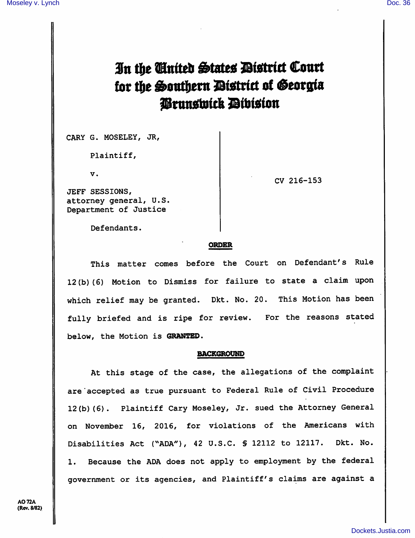# In the Cinited States District Court for the Southern District of Georgia Prunswick Division

GARY G. MOSELEY, JR,

Plaintiff,

V.

JEFF SESSIONS, attorney general, U.S. Department of Justice

CV 216-153

Defendants.

# ORDER

This matter comes before the Court on Defendant's Rule 12(b)(6) Motion to Dismiss for failure to state a claim upon which relief may be granted. Dkt. No. 20. This Motion has been fully briefed and is ripe for review. For the reasons stated below, the Motion is GRANTED.

### BACKGROUND

At this stage of the case, the allegations of the complaint are accepted as true pursuant to Federal Rule of Civil Procedure 12(b)(6). Plaintiff Gary Moseley, Jr. sued the Attorney General on November 16, 2016, for violations of the Americans with Disabilities Act ("ADA"), 42 U.S.C. § 12112 to 12117. Dkt. No. 1. Because the ADA does not apply to employment by the federal government or its agencies, and Plaintiff's claims are against a

A072A (Rev. 8/82)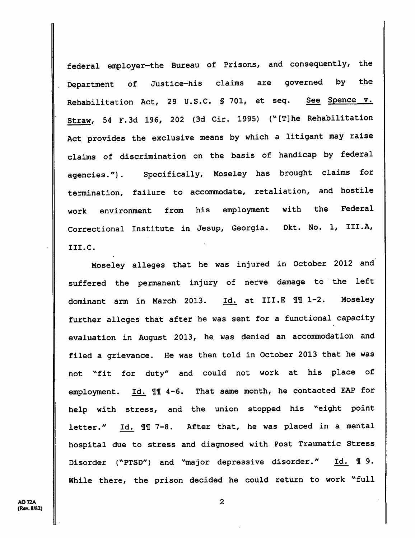federal employer-the Bureau of Prisons, and consequently, the Department of Justice-his claims are governed by the Rehabilitation Act, 29 U.S.C. § 701, et seq. See Spence v. Straw, 54 F.3d 196, 202 (3d Cir. 1995) ("[T]he Rehabilitation Act provides the exclusive means by which a litigant may raise claims of discrimination on the basis of handicap by federal agencies."). Specifically/ Moseley has brought claims for termination, failure to accommodate, retaliation, and hostile work environment from his employment with the Federal Correctional Institute in Jesup, Georgia. Dkt. No. 1, III.A, III.C.

Moseley alleges that he was injured in October 2012 and suffered the permanent injury of nerve damage to the left dominant arm in March 2013. Id. at III.E 111 1-2. Moseley further alleges that after he was sent for a functional capacity evaluation in August 2013, he was denied an accommodation and filed a grievance. He was then told in October 2013 that he was not "fit for duty" and could not work at his place of employment. Id. 11 4-6. That same month, he contacted EAP for help with stress, and the union stopped his "eight point letter." Id. 11 7-8. After that, he was placed in a mental hospital due to stress and diagnosed with Post Traumatic Stress Disorder ("PTSD") and "major depressive disorder." Id. 19. While there, the prison decided he could return to work "full

A072A (Rev. 8/82)  $\overline{2}$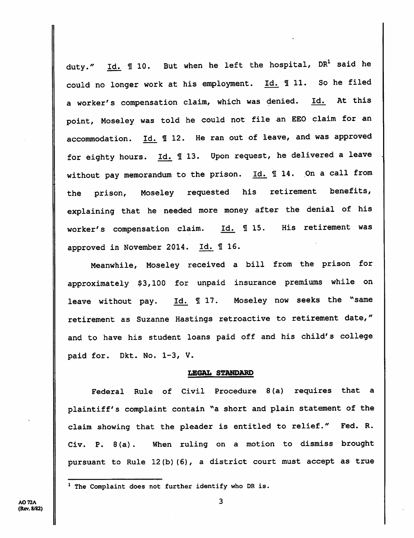duty."  $\underline{Id.}$   $\P$  10. But when he left the hospital, DR<sup>1</sup> said he could no longer work at his employment.  $\underline{Id.}$  11. So he filed a worker's compensation claim, which was denied. Id. At this point, Moseley was told he could not file an EEO claim for an accommodation.  $\underline{Id.}$   $\underline{I}$  12. He ran out of leave, and was approved for eighty hours.  $\underline{Id.}$  13. Upon request, he delivered a leave without pay memorandum to the prison.  $Id.$  **I14.** On a call from the prison, Moseley requested his retirement benefits, explaining that he needed more money after the denial of his worker's compensation claim. Id. 115. His retirement was approved in November 2014. Id. 1 16.

Meanwhile, Moseley received a bill from the prison for approximately \$3,100 for unpaid insurance premiums while on leave without pay. Id. 17. Moseley now seeks the "same retirement as Suzanne Hastings retroactive to retirement date," and to have his student loans paid off and his child's college paid for. Dkt. No. 1-3, V.

# LEGAL STANDARD

Federal Rule of Civil Procedure 8(a) requires that a plaintiff's complaint contain "a short and plain statement of the claim showing that the pleader is entitled to relief." Fed. R. Civ. P. 8(a). When ruling on a motion to dismiss brought pursuant to Rule 12(b) (6), a district court must accept as true

 $1$  The Complaint does not further identify who DR is.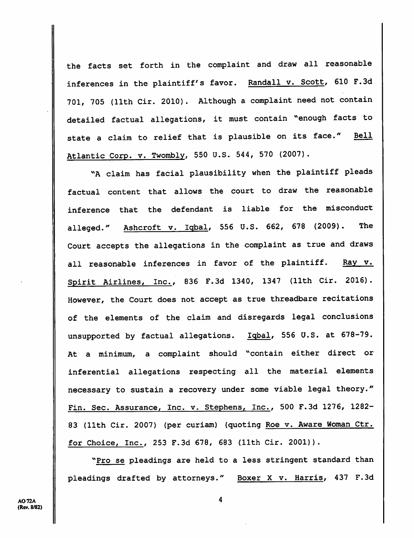the facts set forth in the complaint and draw all reasonable inferences in the plaintiff's favor. Randall v. Scott, 610 F.3d 701, 705 (11th Cir. 2010). Although a complaint need not contain detailed factual allegations, it must contain ''enough facts to state a claim to relief that is plausible on its face." Bell Atlantic Corp. v. Twombly, 550 U.S. 544, 570 (2007).

"A claim has facial plausibility when the plaintiff pleads factual content that allows the court to draw the reasonable inference that the defendant is liable for the misconduct alleged." Ashcroft v. Iqbal, 556 U.S. 662, 678 (2009). The Court accepts the allegations in the complaint as true and draws all reasonable inferences in favor of the plaintiff. Ray v. Spirit Airlines, Inc., 836 F.3d 1340, 1347 (11th Cir. 2016). However, the Court does not accept as true threadbare recitations of the elements of the claim and disregards legal conclusions unsupported by factual allegations. Igbal, 556 U.S. at 678-79. At a minimum, a complaint should "contain either direct or inferential allegations respecting all the material elements necessary to sustain a recovery under some viable legal theory." Fin. Sec. Assurance, Inc. v. Stephens, Inc., 500 F.3d 1276, 1282- 83 (11th Cir. 2007) (per curiam) (quoting Roe v. Aware Woman Ctr. for Choice, Inc., 253 F.3d 678, 683 (11th Cir. 2001)).

"Pro se pleadings are held to a less stringent standard than pleadings drafted by attorneys." Boxer X v. Harris, 437 F.3d

4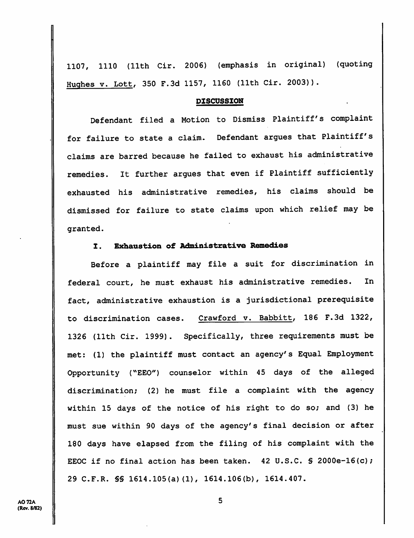1107, 1110 (11th Cir. 2006) (emphasis in original) (quoting Hughes v. Lott, 350 F.Sd 1157, 1160 (11th Cir. 2003)).

#### **DISCUSSION**

Defendant filed a Motion to Dismiss Plaintiff's complaint for failure to state a claim. Defendant argues that Plaintiff's claims are barred because he failed to exhaust his administrative remedies. It further argues that even if Plaintiff sufficiently exhausted his administrative remedies, his claims should be dismissed for failure to state claims upon which relief may be granted.

# I. Exhaustion of Administrative Remedies

Before a plaintiff may file a suit for discrimination in federal court, he must exhaust his administrative remedies. In fact, administrative exhaustion is a jurisdictional prerequisite to discrimination cases. Crawford v. Babbitt, 186 F.3d 1322, 1326 (11th Cir. 1999). Specifically, three requirements must be met: (1) the plaintiff must contact an agency's Equal Employment Opportunity ("EEC") counselor within 45 days of the alleged discrimination; (2) he must file a complaint with the agency within 15 days of the notice of his right to do so; and (3) he must sue within 90 days of the agency's final decision or after 180 days have elapsed from the filing of his complaint with the EEOC if no final action has been taken.  $42 \text{ U.S.C. }$  \$ 2000e-16(c); 29 C.F.R. §§ 1614.105(a)(1), 1614.106(b), 1614.407.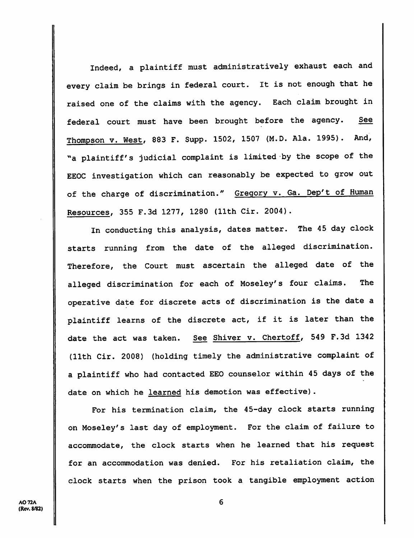Indeed, a plaintiff must administratively exhaust each and every claim be brings in federal court. It is not enough that he raised one of the claims with the agency. Each claim brought in federal court must have been brought before the agency. See Thompson v. West, 883 F. Supp. 1502, 1507 (M.D. Ala. 1995). And, ^'a plaintiff's judicial complaint is limited by the scope of the EEOC investigation which can reasonably be expected to grow out of the charge of discrimination." Gregory v. Ga. Dep't of Human Resources, 355 F.3d 1277, 1280 (11th Cir. 2004).

In conducting this analysis, dates matter. The 45 day clock starts running from the date of the alleged discrimination. Therefore, the Court must ascertain the alleged date of the alleged discrimination for each of Moseley's four claims. The operative date for discrete acts of discrimination is the date a plaintiff learns of the discrete act, if it is later than the date the act was taken. See Shiver v. Chertoff, 549 F.3d 1342 (11th Cir. 2008) (holding timely the administrative complaint of a plaintiff who had contacted EEO counselor within 45 days of the date on which he learned his demotion was effective).

For his termination claim, the 45-day clock starts running on Moseley's last day of employment. For the claim of failure to accommodate, the clock starts when he learned that his request for an accommodation was denied. For his retaliation claim, the clock starts when the prison took a tangible employment action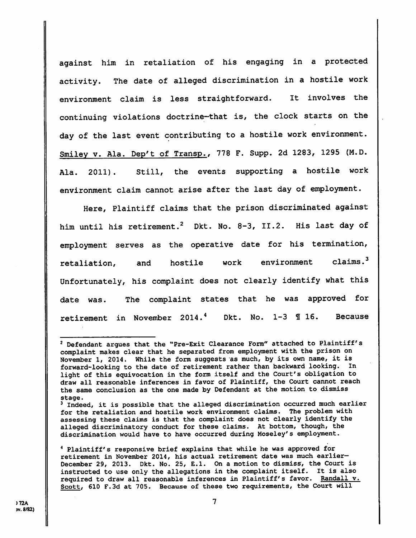against him in retaliation of his engaging in a protected activity. The date of alleged discrimination in a hostile work environment claim is less straightforward. It involves the continuing violations doctrine-that is, the clock starts on the day of the last event contributing to a hostile work environment. Smiley v. Ala. Dep't of Transp., 778 F. Supp. 2d 1283, 1295 (M.D. Ala. 2011). Still, the events supporting a hostile work environment claim cannot arise after the last day of employment.

Here, Plaintiff claims that the prison discriminated against him until his retirement.<sup>2</sup> Dkt. No. 8-3, II.2. His last day of employment serves as the operative date for his termination,  $retaliation,$  and hostile work environment claims. $3$ Unfortunately, his complaint does not clearly identify what this date was. The complaint states that he was approved for retirement in November 2014.<sup>4</sup> Dkt. No. 1-3  $\text{\textdegree{1}}$  16. Because

<sup>4</sup> Plaintiff's responsive brief explains that while he was approved for retirement in November 2014, his actual retirement date was much earlier-December 29, 2013. Dkt. No. 25, E.l. On a motion to dismiss, the Court is instructed to use only the allegations in the complaint itself. It is also required to draw all reasonable inferences in Plaintiff's favor. Randall v. Scott, 610 F.3d at 705. Because of these two requirements, the Court will

<sup>^</sup> Defendant argues that the "Pre-Exit Clearance Form" attached to Plaintiff's complaint makes clear that he separated from employment with the prison on November 1, 2014. While the form suggests as much, by its own name, it is forward-looking to the date of retirement rather than backward looking. In light of this equivocation in the form itself and the Court's obligation to draw all reasonable inferences in favor of Plaintiff, the Court cannot reach the same conclusion as the one made by Defendant at the motion to dismiss stage.

 $3$  Indeed, it is possible that the alleged discrimination occurred much earlier for the retaliation and hostile work environment claims. The problem with assessing these claims is that the complaint does not clearly identify the alleged discriminatory conduct for these claims. At bottom, though, the discrimination would have to have occurred during Moseley's employment.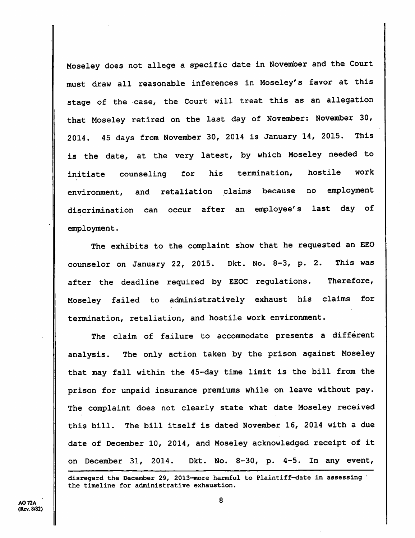Moseley does not allege a specific date in November and the Court must draw all reasonable inferences in Moseley's favor at this stage of the case, the Court will treat this as an allegation that Moseley retired on the last day of November: November 30, 2014. 45 days from November 30, 2014 is January 14, 2015. This is the date, at the very latest, by which Moseley needed to initiate counseling for his termination, hostile work environment, and retaliation claims because no employment discrimination can occur after an employee's last day of employment.

The exhibits to the complaint show that he requested an EEO counselor on January 22, 2015. Dkt. No. 8-3, p. 2. This was after the deadline required by EEOC regulations. Therefore, Moseley failed to administratively exhaust his claims for termination, retaliation, and hostile work environment.

The claim of failure to accommodate presents a different analysis. The only action taken by the prison against Moseley that may fall within the 45-day time limit is the bill from the prison for unpaid insurance premiums while on leave without pay. The complaint does not clearly state what date Moseley received this bill. The bill itself is dated November 16, 2014 with a due date of December 10, 2014, and Moseley acknowledged receipt of it on December 31, 2014. Dkt. No. 8-30, p. 4-5. In any event,

disregard the December 29, 2013-more harmful to Plaintiff—date in assessing the timeline for administrative exhaustion.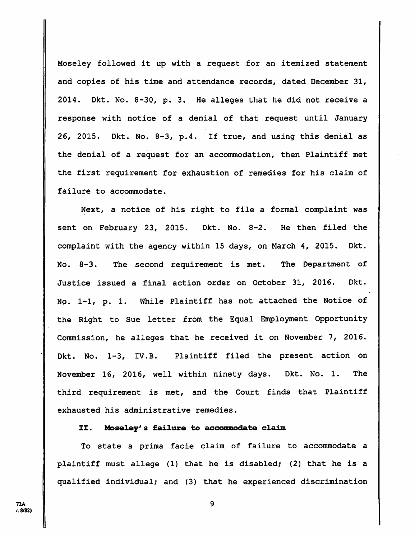Moseley followed it up with a request for an itemized statement and copies of his time and attendance records, dated December 31, 2014. Dkt. No. 8-30, p. 3. He alleges that he did not receive a response with notice of a denial of that request until January 26, 2015. Dkt. No. 8-3, p.4. If true, and using this denial as the denial of a request for an accommodation, then Plaintiff met the first requirement for exhaustion of remedies for his claim of failure to accommodate.

Next, a notice of his right to file a formal complaint was sent on February 23, 2015. Dkt. No. 8-2. He then filed the complaint with the agency within 15 days, on March 4, 2015. Dkt. No. 8-3. The second requirement is met. The Department of Justice issued a final action order on October 31, 2016. Dkt. No. 1-1, p. 1. While Plaintiff has not attached the Notice of the Right to Sue letter from the Equal Employment Opportunity Commission, he alleges that he received it on November 7, 2016. Dkt. No. 1-3, IV.B. Plaintiff filed the present action on November 16, 2016, well within ninety days. Dkt. No. 1. The third requirement is met, and the Court finds that Plaintiff exhausted his administrative remedies.

# II. Moseley's failure to aooonmodate olaim

To state a prima facie claim of failure to accommodate a plaintiff must allege (1) that he is disabled; (2) that he is a qualified individual; and (3) that he experienced discrimination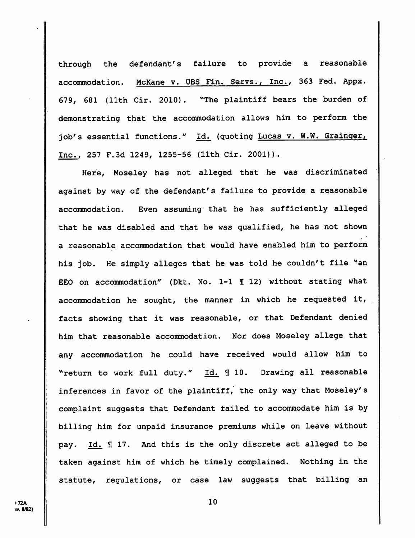through the defendant's failure to provide a reasonable accommodation. McKane v. UBS Fin. Servs., Inc., 363 Fed. Appx. 679, 681 (11th Cir. 2010). "The plaintiff bears the burden of demonstrating that the accommodation allows him to perform the job's essential functions." Id. (quoting Lucas v. W.W. Grainger, Inc., 257 F.3d 1249, 1255-56 (11th Cir. 2001)).

Here, Moseley has not alleged that he was discriminated against by way of the defendant's failure to provide a reasonable accommodation. Even assuming that he has sufficiently alleged that he was disabled and that he was qualified, he has not shown a reasonable accommodation that would have enabled him to perform his job. He simply alleges that he was told he couldn't file "an EEO on accommodation" (Dkt. No. 1-1 1 12) without stating what accommodation he sought, the manner in which he requested it, facts showing that it was reasonable, or that Defendant denied him that reasonable accommodation. Nor does Moseley allege that any accommodation he could have received would allow him to "return to work full duty." Id. 10. Drawing all reasonable inferences in favor of the plaintiff, the only way that Moseley's complaint suggests that Defendant failed to accommodate him is by billing him for unpaid insurance premiums while on leave without pay. Id. 117. And this is the only discrete act alleged to be taken against him of which he timely complained. Nothing in the statute, regulations, or case law suggests that billing an

**172A** rv. 8/82)